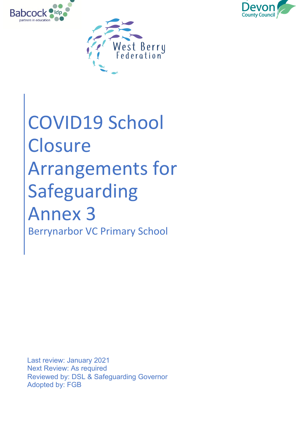



# COVID19 School **Closure** Arrangements for Safeguarding Annex 3 Berrynarbor VC Primary School

Last review: January 2021 Next Review: As required Reviewed by: DSL & Safeguarding Governor Adopted by: FGB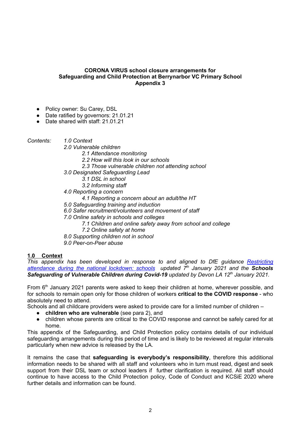#### **CORONA VIRUS school closure arrangements for Safeguarding and Child Protection at Berrynarbor VC Primary School Appendix 3**

- Policy owner: Su Carey, DSL
- Date ratified by governors: 21.01.21

● Date shared with staff: 21.01.21

*Contents: 1.0 Context*

- *2.0 Vulnerable children*
	- *2.1 Attendance monitoring*
	- *2.2 How will this look in our schools*
	- *2.3 Those vulnerable children not attending school*
- *3.0 Designated Safeguarding Lead*
	- *3.1 DSL in school*
	- *3.2 Informing staff*
- *4.0 Reporting a concern*
	- *4.1 Reporting a concern about an adult/the HT*
- *5.0 Safeguarding training and induction*
- *6.0 Safer recruitment/volunteers and movement of staff*
- *7.0 Online safety in schools and colleges*
	- *7.1 Children and online safety away from school and college*
	- *7.2 Online safety at home*
- *8.0 Supporting children not in school*
- *9.0 Peer-on-Peer abuse*

### **1.0 Context**

*This appendix has been developed in response to and aligned to DfE guidance [Restricting](https://www.gov.uk/government/publications/actions-for-schools-during-the-coronavirus-outbreak) [attendance](https://www.gov.uk/government/publications/actions-for-schools-during-the-coronavirus-outbreak) during the national lockdown: schools updated 7 th January 2021 and the Schools Safeguarding of Vulnerable Children during Covid-19 updated by Devon LA 12 th January 2021.*

From 6<sup>th</sup> January 2021 parents were asked to keep their children at home, wherever possible, and for schools to remain open only for those children of workers **critical to the COVID response** - who absolutely need to attend.

Schools and all childcare providers were asked to provide care for a limited number of children –

- **children who are vulnerable** (see para 2), and
- children whose parents are critical to the COVID response and cannot be safely cared for at home.

This appendix of the Safeguarding, and Child Protection policy contains details of our individual safeguarding arrangements during this period of time and is likely to be reviewed at regular intervals particularly when new advice is released by the LA.

It remains the case that **safeguarding is everybody's responsibility**, therefore this additional information needs to be shared with all staff and volunteers who in turn must read, digest and seek support from their DSL team or school leaders if further clarification is required. All staff should continue to have access to the Child Protection policy, Code of Conduct and KCSiE 2020 where further details and information can be found.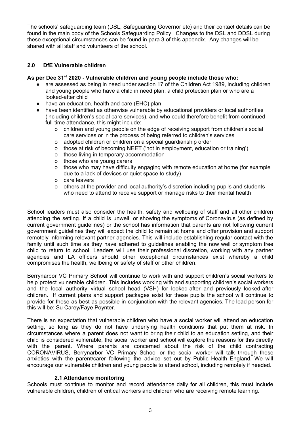The schools' safeguarding team (DSL, Safeguarding Governor etc) and their contact details can be found in the main body of the Schools Safeguarding Policy. Changes to the DSL and DDSL during these exceptional circumstances can be found in para 3 of this appendix. Any changes will be shared with all staff and volunteers of the school.

## **2.0 DfE Vulnerable children**

#### **As per Dec 31 st 2020 - Vulnerable children and young people include those who:**

- are assessed as being in need under section 17 of the Children Act 1989, including children and young people who have a child in need plan, a child protection plan or who are a looked-after child
- have an education, health and care (EHC) plan
- have been identified as otherwise vulnerable by educational providers or local authorities (including children's social care services), and who could therefore benefit from continued full-time attendance, this might include:
	- o children and young people on the edge of receiving support from children's social care services or in the process of being referred to children's services
	- o adopted children or children on a special guardianship order
	- o those at risk of becoming NEET ('not in employment, education or training')
	- o those living in temporary accommodation
	- o those who are young carers
	- o those who may have difficulty engaging with remote education at home (for example due to a lack of devices or quiet space to study)
	- o care leavers
	- o others at the provider and local authority's discretion including pupils and students who need to attend to receive support or manage risks to their mental health

School leaders must also consider the health, safety and wellbeing of staff and all other children attending the setting. If a child is unwell, or showing the symptoms of Coronavirus (as defined by current government guidelines) or the school has information that parents are not following current government guidelines they will expect the child to remain at home and offer provision and support remotely informing relevant partner agencies. This will include establishing regular contact with the family until such time as they have adhered to guidelines enabling the now well or symptom free child to return to school. Leaders will use their professional discretion, working with any partner agencies and LA officers should other exceptional circumstances exist whereby a child compromises the health, wellbeing or safety of staff or other children.

Berrynarbor VC Primary School will continue to work with and support children's social workers to help protect vulnerable children. This includes working with and supporting children's social workers and the local authority virtual school head (VSH) for looked-after and previously looked-after children. If current plans and support packages exist for these pupils the school will continue to provide for these as best as possible in conjunction with the relevant agencies. The lead person for this will be: Su Carey/Faye Poynter.

There is an expectation that vulnerable children who have a social worker will attend an education setting, so long as they do not have underlying health conditions that put them at risk. In circumstances where a parent does not want to bring their child to an education setting, and their child is considered vulnerable, the social worker and school will explore the reasons for this directly with the parent. Where parents are concerned about the risk of the child contracting CORONAVIRUS, Berrynarbor VC Primary School or the social worker will talk through these anxieties with the parent/carer following the advice set out by Public Health England. We will encourage our vulnerable children and young people to attend school, including remotely if needed.

### **2.1 Attendance monitoring**

Schools must continue to monitor and record attendance daily for all children, this must include vulnerable children, children of critical workers and children who are receiving remote learning.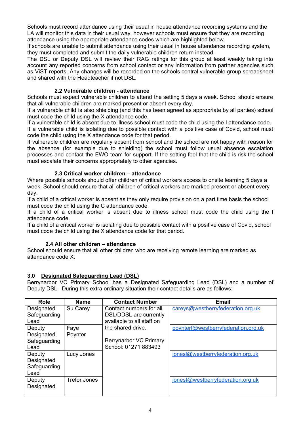Schools must record attendance using their usual in house attendance recording systems and the LA will monitor this data in their usual way, however schools must ensure that they are recording attendance using the appropriate attendance codes which are highlighted below.

If schools are unable to submit attendance using their usual in house attendance recording system, they must completed and submit the daily vulnerable children return instead.

The DSL or Deputy DSL will review their RAG ratings for this group at least weekly taking into account any reported concerns from school contact or any information from partner agencies such as ViST reports. Any changes will be recorded on the schools central vulnerable group spreadsheet and shared with the Headteacher if not DSL.

## **2.2 Vulnerable children - attendance**

Schools must expect vulnerable children to attend the setting 5 days a week. School should ensure that all vulnerable children are marked present or absent every day.

If a vulnerable child is also shielding (and this has been agreed as appropriate by all parties) school must code the child using the X attendance code.

If a vulnerable child is absent due to illness school must code the child using the I attendance code. If a vulnerable child is isolating due to possible contact with a positive case of Covid, school must code the child using the X attendance code for that period.

If vulnerable children are regularly absent from school and the school are not happy with reason for the absence (for example due to shielding) the school must follow usual absence escalation processes and contact the EWO team for support. If the setting feel that the child is risk the school must escalate their concerns appropriately to other agencies.

## **2.3 Critical worker children – attendance**

Where possible schools should offer children of critical workers access to onsite learning 5 days a week. School should ensure that all children of critical workers are marked present or absent every day.

If a child of a critical worker is absent as they only require provision on a part time basis the school must code the child using the C attendance code.

If a child of a critical worker is absent due to illness school must code the child using the I attendance code.

If a child of a critical worker is isolating due to possible contact with a positive case of Covid, school must code the child using the X attendance code for that period.

### **2.4 All other children – attendance**

School should ensure that all other children who are receiving remote learning are marked as attendance code X.

# **3.0 Designated Safeguarding Lead (DSL)**

Berrynarbor VC Primary School has a Designated Safeguarding Lead (DSL) and a number of Deputy DSL. During this extra ordinary situation their contact details are as follows:

| Role         | <b>Name</b>         | <b>Contact Number</b>     | <b>Email</b>                        |
|--------------|---------------------|---------------------------|-------------------------------------|
| Designated   | Su Carey            | Contact numbers for all   | careys@westberryfederation.org.uk   |
| Safeguarding |                     | DSL/DDSL are currently    |                                     |
| Lead         |                     | available to all staff on |                                     |
| Deputy       | Faye                | the shared drive.         | poynterf@westberryfederation.org.uk |
| Designated   | Poynter             |                           |                                     |
| Safeguarding |                     | Berrynarbor VC Primary    |                                     |
| Lead         |                     | School: 01271 883493      |                                     |
| Deputy       | Lucy Jones          |                           | jonesl@westberryfederation.org.uk   |
| Designated   |                     |                           |                                     |
| Safeguarding |                     |                           |                                     |
| Lead         |                     |                           |                                     |
| Deputy       | <b>Trefor Jones</b> |                           | jonest@westberryfederation.org.uk   |
| Designated   |                     |                           |                                     |
|              |                     |                           |                                     |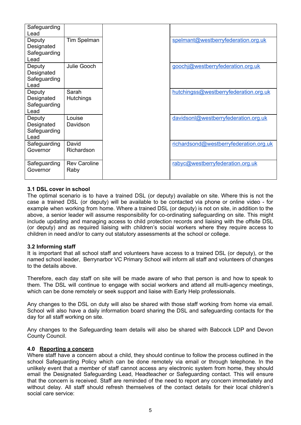| Safeguarding<br>Lead                         |                             |                                        |
|----------------------------------------------|-----------------------------|----------------------------------------|
| Deputy<br>Designated<br>Safeguarding<br>Lead | Tim Spelman                 | spelmant@westberryfederation.org.uk    |
| Deputy<br>Designated<br>Safeguarding<br>Lead | Julie Gooch                 | goochj@westberryfederation.org.uk      |
| Deputy<br>Designated<br>Safeguarding<br>Lead | Sarah<br><b>Hutchings</b>   | hutchingss@westberryfederation.org.uk  |
| Deputy<br>Designated<br>Safeguarding<br>Lead | Louise<br>Davidson          | davidsonl@westberryfederation.org.uk   |
| Safeguarding<br>Governor                     | David<br>Richardson         | richardsond@westberryfederation.org.uk |
| Safeguarding<br>Governor                     | <b>Rev Caroline</b><br>Raby | rabyc@westberryfederation.org.uk       |

## **3.1 DSL cover in school**

The optimal scenario is to have a trained DSL (or deputy) available on site. Where this is not the case a trained DSL (or deputy) will be available to be contacted via phone or online video - for example when working from home. Where a trained DSL (or deputy) is not on site, in addition to the above, a senior leader will assume responsibility for co-ordinating safeguarding on site. This might include updating and managing access to child protection records and liaising with the offsite DSL (or deputy) and as required liaising with children's social workers where they require access to children in need and/or to carry out statutory assessments at the school or college.

### **3.2 Informing staff**

It is important that all school staff and volunteers have access to a trained DSL (or deputy), or the named school leader, Berrynarbor VC Primary School will inform all staff and volunteers of changes to the details above.

Therefore, each day staff on site will be made aware of who that person is and how to speak to them. The DSL will continue to engage with social workers and attend all multi-agency meetings, which can be done remotely or seek support and liaise with Early Help professionals.

Any changes to the DSL on duty will also be shared with those staff working from home via email. School will also have a daily information board sharing the DSL and safeguarding contacts for the day for all staff working on site.

Any changes to the Safeguarding team details will also be shared with Babcock LDP and Devon County Council.

### **4.0 Reporting a concern**

Where staff have a concern about a child, they should continue to follow the process outlined in the school Safeguarding Policy which can be done remotely via email or through telephone. In the unlikely event that a member of staff cannot access any electronic system from home, they should email the Designated Safeguarding Lead, Headteacher or Safeguarding contact. This will ensure that the concern is received. Staff are reminded of the need to report any concern immediately and without delay. All staff should refresh themselves of the contact details for their local children's social care service: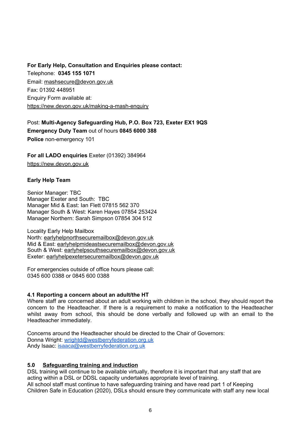## **For Early Help, Consultation and Enquiries please contact:**

Telephone: **0345 155 1071** Email: [mashsecure@devon.gov.uk](mailto:mashsecure@devon.gov.uk) Fax: 01392 448951 Enquiry Form available at: [https://new.devon.gov.uk/making-a-mash-enquiry](https://new.devon.gov.uk/educationandfamilies/child-protection/making-a-mash-enquiry)

Post: **Multi-Agency Safeguarding Hub, P.O. Box 723, Exeter EX1 9QS Emergency Duty Team** out of hours **0845 6000 388 Police** non-emergency 101

**For all LADO enquiries** Exeter (01392) 384964 [https://new.devon.gov.uk](https://new.devon.gov.uk/educationandfamilies/child-protection/managing-allegations-against-adults-working-with-children)

# **Early Help Team**

Senior Manager: TBC Manager Exeter and South: TBC Manager Mid & East: Ian Flett 07815 562 370 Manager South & West: Karen Hayes 07854 253424 Manager Northern: Sarah Simpson 07854 304 512

Locality Early Help Mailbox North: [earlyhelpnorthsecuremailbox@devon.gov.uk](mailto:earlyhelpnorthsecuremailbox@devon.gov.uk) Mid & East: [earlyhelpmideastsecuremailbox@devon.gov.uk](mailto:earlyhelpmideastsecuremailbox@devon.gov.uk) South & West: [earlyhelpsouthsecuremailbox@devon.gov.uk](mailto:earlyhelpsouthsecuremailbox@devon.gov.uk) Exeter: [earlyhelpexetersecuremailbox@devon.gov.uk](mailto:earlyhelpexetersecuremailbox@devon.gov.uk)

For emergencies outside of office hours please call: 0345 600 0388 or 0845 600 0388

### **4.1 Reporting a concern about an adult/the HT**

Where staff are concerned about an adult working with children in the school, they should report the concern to the Headteacher. If there is a requirement to make a notification to the Headteacher whilst away from school, this should be done verbally and followed up with an email to the Headteacher immediately.

Concerns around the Headteacher should be directed to the Chair of Governors: Donna Wright: [wrightd@westberryfederation.org.uk](mailto:wrightd@westberryfederation.org.uk) Andy Isaac: [isaaca@westberryfederation.org.uk](mailto:isaaca@westberryfederation.org.uk)

### **5.0 Safeguarding training and induction**

DSL training will continue to be available virtually, therefore it is important that any staff that are acting within a DSL or DDSL capacity undertakes appropriate level of training. All school staff must continue to have safeguarding training and have read part 1 of Keeping Children Safe in Education (2020), DSLs should ensure they communicate with staff any new local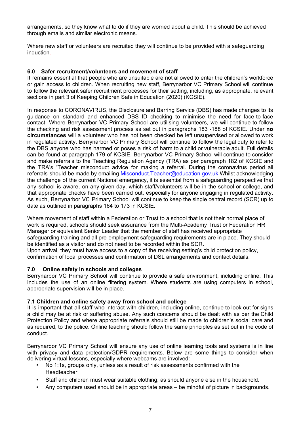arrangements, so they know what to do if they are worried about a child. This should be achieved through emails and similar electronic means.

Where new staff or volunteers are recruited they will continue to be provided with a safeguarding induction.

### **6.0 Safer recruitment/volunteers and movement of staff**

It remains essential that people who are unsuitable are not allowed to enter the children's workforce or gain access to children. When recruiting new staff, Berrynarbor VC Primary School will continue to follow the relevant safer recruitment processes for their setting, including, as appropriate, relevant sections in part 3 of Keeping Children Safe in Education (2020) (KCSIE).

In response to CORONAVIRUS, the Disclosure and Barring Service (DBS) has made changes to its guidance on standard and enhanced DBS ID checking to minimise the need for face-to-face contact. Where Berrynarbor VC Primary School are utilising volunteers, we will continue to follow the checking and risk assessment process as set out in paragraphs 183 -188 of KCSIE. Under **no circumstances** will a volunteer who has not been checked be left unsupervised or allowed to work in regulated activity. Berrynarbor VC Primary School will continue to follow the legal duty to refer to the DBS anyone who has harmed or poses a risk of harm to a child or vulnerable adult. Full details can be found at paragraph 179 of KCSIE. Berrynarbor VC Primary School will continue to consider and make referrals to the Teaching Regulation Agency (TRA) as per paragraph 182 of KCSIE and the TRA's 'Teacher misconduct advice for making a referral. During the coronavirus period all referrals should be made by emailing Misconduct. Teacher@education.gov.uk Whilst acknowledging the challenge of the current National emergency, it is essential from a safeguarding perspective that any school is aware, on any given day, which staff/volunteers will be in the school or college, and that appropriate checks have been carried out, especially for anyone engaging in regulated activity. As such, Berrynarbor VC Primary School will continue to keep the single central record (SCR) up to date as outlined in paragraphs 164 to 173 in KCSIE.

Where movement of staff within a Federation or Trust to a school that is not their normal place of work is required, schools should seek assurance from the Multi-Academy Trust or Federation HR Manager or equivalent Senior Leader that the member of staff has received appropriate safeguarding training and all pre-employment safeguarding requirements are in place. They should be identified as a visitor and do not need to be recorded within the SCR. Upon arrival, they must have access to a copy of the receiving setting's child protection policy,

confirmation of local processes and confirmation of DSL arrangements and contact details.

#### **7.0 Online safety in schools and colleges**

Berrynarbor VC Primary School will continue to provide a safe environment, including online. This includes the use of an online filtering system. Where students are using computers in school, appropriate supervision will be in place.

#### **7.1 Children and online safety away from school and college**

It is important that all staff who interact with children, including online, continue to look out for signs a child may be at risk or suffering abuse. Any such concerns should be dealt with as per the Child Protection Policy and where appropriate referrals should still be made to children's social care and as required, to the police. Online teaching should follow the same principles as set out in the code of conduct.

Berrynarbor VC Primary School will ensure any use of online learning tools and systems is in line with privacy and data protection/GDPR requirements. Below are some things to consider when delivering virtual lessons, especially where webcams are involved:

- No 1:1s, groups only, unless as a result of risk assessments confirmed with the Headteacher.
- Staff and children must wear suitable clothing, as should anyone else in the household.
- Any computers used should be in appropriate areas be mindful of picture in backgrounds.